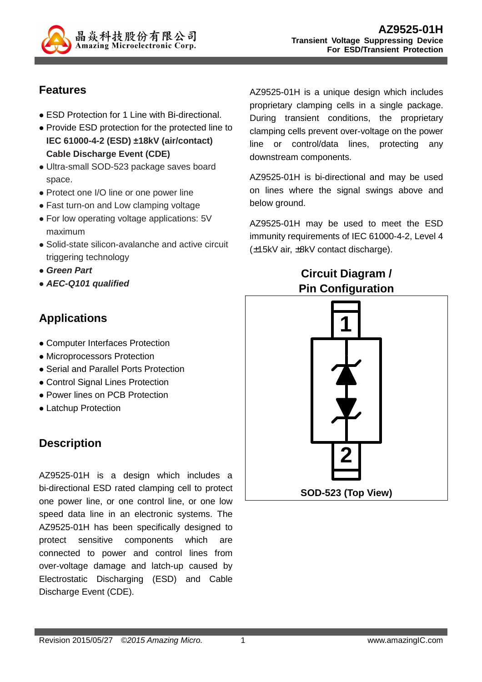

## **Features**

- ESD Protection for 1 Line with Bi-directional.
- Provide ESD protection for the protected line to **IEC 61000-4-2 (ESD) ±18kV (air/contact) Cable Discharge Event (CDE)**
- Ultra-small SOD-523 package saves board space.
- Protect one I/O line or one power line
- Fast turn-on and Low clamping voltage
- For low operating voltage applications: 5V maximum
- Solid-state silicon-avalanche and active circuit triggering technology
- **Green Part**
- **AEC-Q101 qualified**

## **Applications**

- Computer Interfaces Protection
- Microprocessors Protection
- Serial and Parallel Ports Protection
- Control Signal Lines Protection
- Power lines on PCB Protection
- Latchup Protection

# **Description**

AZ9525-01H is a design which includes a bi-directional ESD rated clamping cell to protect one power line, or one control line, or one low speed data line in an electronic systems. The AZ9525-01H has been specifically designed to protect sensitive components which are connected to power and control lines from over-voltage damage and latch-up caused by Electrostatic Discharging (ESD) and Cable Discharge Event (CDE).

AZ9525-01H is a unique design which includes proprietary clamping cells in a single package. During transient conditions, the proprietary clamping cells prevent over-voltage on the power line or control/data lines, protecting any downstream components.

AZ9525-01H is bi-directional and may be used on lines where the signal swings above and below ground.

AZ9525-01H may be used to meet the ESD immunity requirements of IEC 61000-4-2, Level 4 (±15kV air, ±8kV contact discharge).

## **Circuit Diagram / Pin Configuration**

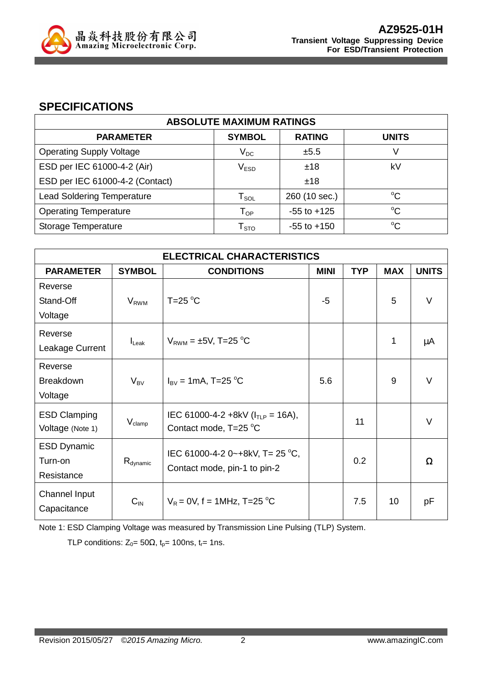

### **SPECIFICATIONS**

| <b>ABSOLUTE MAXIMUM RATINGS</b>   |                            |                 |              |
|-----------------------------------|----------------------------|-----------------|--------------|
| <b>PARAMETER</b>                  | <b>SYMBOL</b>              | <b>RATING</b>   | <b>UNITS</b> |
| <b>Operating Supply Voltage</b>   | $V_{DC}$                   | ±5.5            | V            |
| ESD per IEC 61000-4-2 (Air)       | V <sub>ESD</sub>           | ±18             | kV           |
| ESD per IEC 61000-4-2 (Contact)   |                            | ±18             |              |
| <b>Lead Soldering Temperature</b> | ${\sf T}_{\sf SOL}$        | 260 (10 sec.)   | $^{\circ}C$  |
| <b>Operating Temperature</b>      | $\mathsf{T}_{\mathsf{OP}}$ | $-55$ to $+125$ | $^{\circ}C$  |
| Storage Temperature               | ${\sf T}_{\text{STO}}$     | $-55$ to $+150$ | $^{\circ}C$  |

| <b>ELECTRICAL CHARACTERISTICS</b> |                      |                                        |             |            |            |              |  |
|-----------------------------------|----------------------|----------------------------------------|-------------|------------|------------|--------------|--|
| <b>PARAMETER</b>                  | <b>SYMBOL</b>        | <b>CONDITIONS</b>                      | <b>MINI</b> | <b>TYP</b> | <b>MAX</b> | <b>UNITS</b> |  |
| Reverse                           |                      |                                        |             |            |            |              |  |
| Stand-Off                         | $V_{RWM}$            | $T=25^{\circ}C$                        | $-5$        |            | 5          | $\vee$       |  |
| Voltage                           |                      |                                        |             |            |            |              |  |
| Reverse                           |                      |                                        |             |            |            |              |  |
| Leakage Current                   | $IL$ ak              | $V_{RWM} = \pm 5V$ , T=25 °C           |             |            | 1          | μA           |  |
| Reverse                           |                      |                                        |             |            |            |              |  |
| <b>Breakdown</b>                  | $V_{BV}$             | $I_{\rm BV}$ = 1mA, T=25 °C            | 5.6         |            | 9          | V            |  |
| Voltage                           |                      |                                        |             |            |            |              |  |
| <b>ESD Clamping</b>               |                      | IEC 61000-4-2 +8kV ( $I_{TLP}$ = 16A), |             |            |            |              |  |
| Voltage (Note 1)                  | $V_{\text{clamp}}$   | Contact mode, T=25 °C                  |             | 11         |            | V            |  |
| <b>ESD Dynamic</b>                |                      | IEC 61000-4-2 0~+8kV, T= 25 °C,        |             |            |            |              |  |
| Turn-on                           | $R_{\text{dynamic}}$ |                                        |             | 0.2        |            | Ω            |  |
| Resistance                        |                      | Contact mode, pin-1 to pin-2           |             |            |            |              |  |
| Channel Input                     |                      |                                        |             |            |            |              |  |
| Capacitance                       | $C_{\text{IN}}$      | $V_R = 0V$ , f = 1MHz, T=25 °C         |             | 7.5        | 10         | рF           |  |

Note 1: ESD Clamping Voltage was measured by Transmission Line Pulsing (TLP) System.

TLP conditions:  $Z_0 = 50\Omega$ ,  $t_p = 100$ ns,  $t_r = 1$ ns.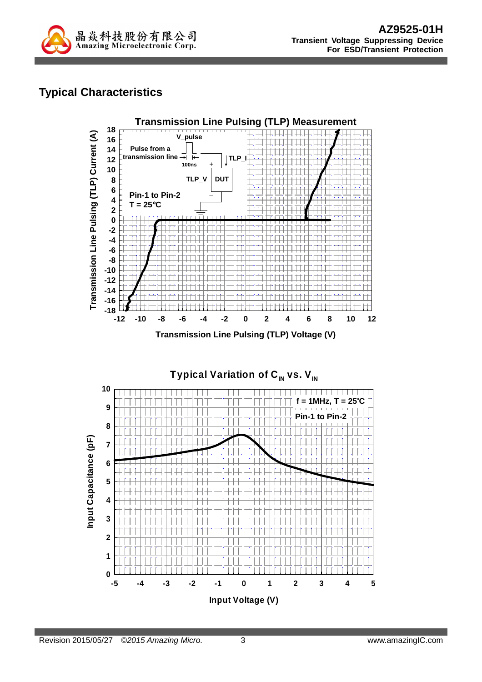

# **Typical Characteristics**

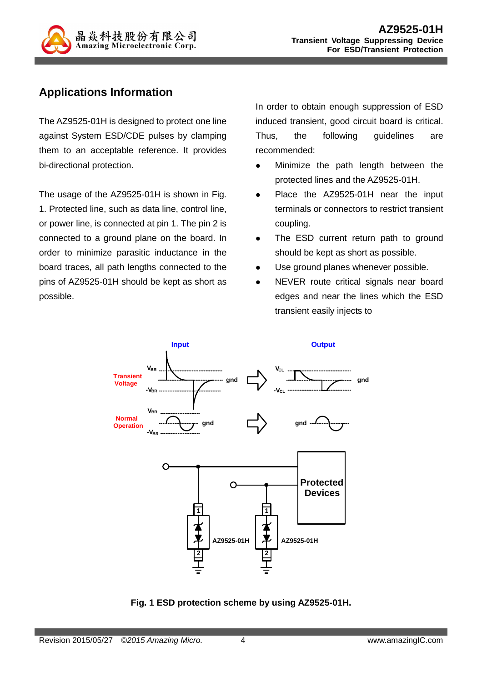

## **Applications Information**

The AZ9525-01H is designed to protect one line against System ESD/CDE pulses by clamping them to an acceptable reference. It provides bi-directional protection.

The usage of the AZ9525-01H is shown in Fig. 1. Protected line, such as data line, control line, or power line, is connected at pin 1. The pin 2 is connected to a ground plane on the board. In order to minimize parasitic inductance in the board traces, all path lengths connected to the pins of AZ9525-01H should be kept as short as possible.

In order to obtain enough suppression of ESD induced transient, good circuit board is critical. Thus, the following guidelines are recommended:

- Minimize the path length between the protected lines and the AZ9525-01H.
- Place the AZ9525-01H near the input terminals or connectors to restrict transient coupling.
- The ESD current return path to ground should be kept as short as possible.
- Use ground planes whenever possible.
- NEVER route critical signals near board edges and near the lines which the ESD transient easily injects to



**Fig. 1 ESD protection scheme by using AZ9525-01H.**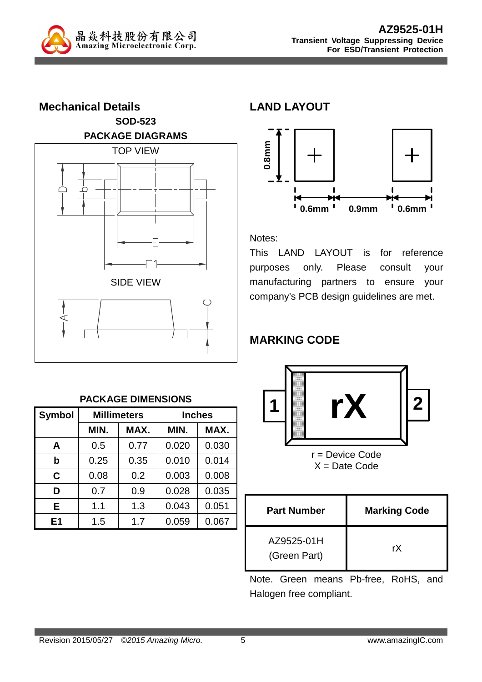



#### **PACKAGE DIMENSIONS**

| <b>Symbol</b> |      | <b>Millimeters</b> | <b>Inches</b> |       |  |
|---------------|------|--------------------|---------------|-------|--|
|               | MIN. | MAX.               | MIN.          | MAX.  |  |
| A             | 0.5  | 0.77               | 0.020         | 0.030 |  |
| b             | 0.25 | 0.35               | 0.010         | 0.014 |  |
| C             | 0.08 | 0.2                | 0.003         | 0.008 |  |
| D             | 0.7  | 0.9                | 0.028         | 0.035 |  |
| Е             | 1.1  | 1.3                | 0.043         | 0.051 |  |
| E1            | 1.5  | 1.7                | 0.059         | 0.067 |  |

### **LAND LAYOUT**



#### Notes:

This LAND LAYOUT is for reference purposes only. Please consult your manufacturing partners to ensure your company's PCB design guidelines are met.

### **MARKING CODE**



r = Device Code  $X = Date Code$ 

| <b>Part Number</b>         | <b>Marking Code</b> |
|----------------------------|---------------------|
| AZ9525-01H<br>(Green Part) | rX                  |

Note. Green means Pb-free, RoHS, and Halogen free compliant.